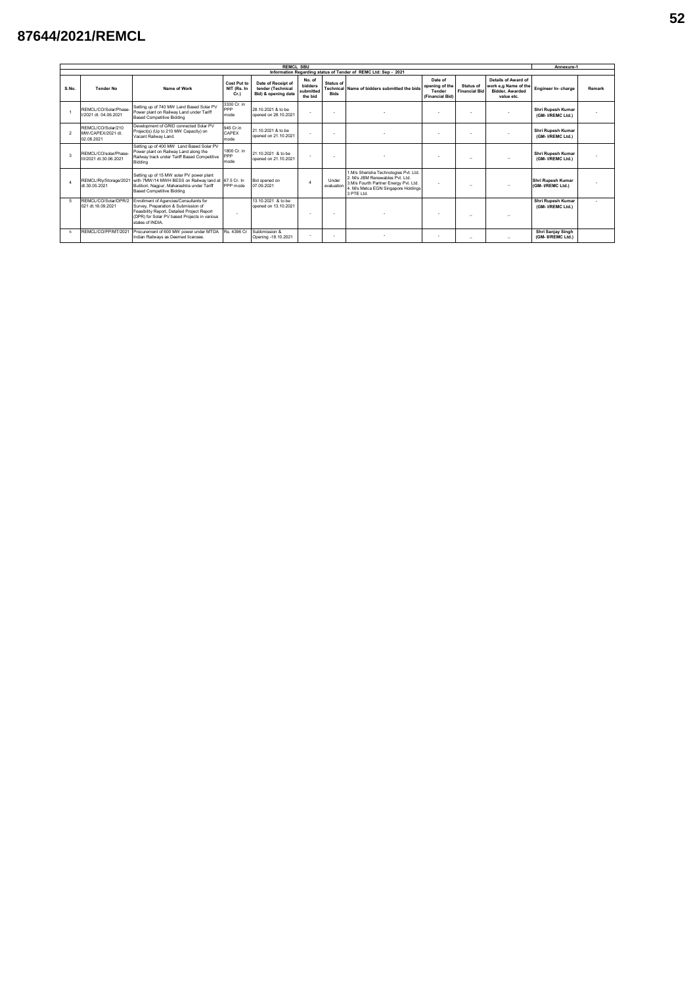## **87644/2021/REMCL**

| <b>REMCL SBU</b> |                                                                |                                                                                                                                                                                                  |                                   |                                                                |                                           |                          |                                                                                                                                                                     |                                                                                             |                          |                                                                                     |                                         | Annexure-1 |  |  |
|------------------|----------------------------------------------------------------|--------------------------------------------------------------------------------------------------------------------------------------------------------------------------------------------------|-----------------------------------|----------------------------------------------------------------|-------------------------------------------|--------------------------|---------------------------------------------------------------------------------------------------------------------------------------------------------------------|---------------------------------------------------------------------------------------------|--------------------------|-------------------------------------------------------------------------------------|-----------------------------------------|------------|--|--|
|                  | Information Regarding status of Tender of REMC Ltd: Sep - 2021 |                                                                                                                                                                                                  |                                   |                                                                |                                           |                          |                                                                                                                                                                     |                                                                                             |                          |                                                                                     |                                         |            |  |  |
| S.No.            | <b>Tender No</b>                                               | Name of Work                                                                                                                                                                                     | Cost Put to<br>NIT (Rs. In<br>Cr. | Date of Receipt of<br>tender (Technical<br>Bid) & opening date | No. of<br>bidders<br>submitted<br>the bid | Status of<br><b>Bids</b> | Technical Name of bidders submitted the bids                                                                                                                        | Date of<br>opening of the<br>Status of<br><b>Financial Bid</b><br>Tender<br>(Financial Bid) |                          | Details of Award of<br>work e.g Name of the<br><b>Bidder, Awarded</b><br>value etc. | Engineer In- charge                     | Remark     |  |  |
|                  | REMCL/CO/Solar/Phase-<br>I/2021 dt. 04.06.2021                 | Setting up of 740 MW Land Based Solar PV<br>Power plant on Railway Land under Tariff<br><b>Based Competitive Bidding</b>                                                                         | 3330 Cr. in<br>PPP<br>mode        | 28.10.2021 & to be<br>opened on 28,10,2021                     |                                           |                          |                                                                                                                                                                     |                                                                                             |                          |                                                                                     | Shri Rupesh Kumar<br>(GM-VREMC Ltd.)    |            |  |  |
| $\overline{2}$   | REMCL/CO/Solar/210<br>MW/CAPEX/2021 dt<br>02.08.2021           | Development of GRID connected Solar PV<br>Project(s) (Up to 210 MW Capacity) on<br>Vacant Railway Land.                                                                                          | 945 Cr.in<br>CAPEX<br>mode        | 21 10 2021 & to be<br>opened on 21.10.2021                     | ÷.                                        |                          |                                                                                                                                                                     |                                                                                             | $\sim$                   |                                                                                     | Shri Rupesh Kumar<br>(GM-VREMC Ltd.)    |            |  |  |
| 3                | REMCL/CO/solar/Phase-<br>III/2021 dt.30.06.2021                | Setting up of 400 MW Land Based Solar PV<br>Power plant on Railway Land along the<br>Railway track under Tariff Based Competitive<br>Bidding                                                     | 1800 Cr. in<br>PPP<br>mode        | 21 10 2021 & to be<br>opened on 21.10.2021                     | <b>.</b>                                  | $\sim$                   |                                                                                                                                                                     |                                                                                             | $\overline{\phantom{m}}$ |                                                                                     | Shri Rupesh Kumar<br>(GM-VREMC Ltd.)    |            |  |  |
|                  | REMCL/RIv/Storage/2021<br>dt.30.05.2021                        | Setting up of 15 MW solar PV power plant<br>with 7MW/14 MWH BESS on Railway land at 67.5 Cr. In<br>Butibori, Nagpur, Maharashtra under Tariff<br><b>Based Competitive Bidding</b>                | PPP mode                          | Bid opened on<br>07.09.2021                                    |                                           | Under<br>evaluation      | 1.M/s Sherisha Technologies Pvt. Ltd.<br>2 M/s JBM Renewables Pvt 1td<br>3.M/s Fourth Partner Energy Pvt. Ltd.<br>4. M/s Metca EGN Singapore Holdings<br>3 PTF Ltd. | $\sim$                                                                                      | $\overline{\phantom{a}}$ |                                                                                     | Shri Rupesh Kumar<br>(GM-VREMC Ltd.)    |            |  |  |
| 5                | REMCL/CO/Solar/DPR/2<br>021 dt.16.09.2021                      | Enrollment of Agencies/Consultants for<br>Survey, Preparation & Submission of<br>Feasibility Report. Detailed Project Report<br>(DPR) for Solar PV based Projects in various<br>states of INDIA. |                                   | 13 10 2021 & to be<br>opened on 13.10.2021                     | <b>.</b>                                  |                          |                                                                                                                                                                     |                                                                                             | -                        |                                                                                     | Shri Rupesh Kumar<br>(GM-VREMC Ltd.)    |            |  |  |
| 6                | REMCL/CO/PP/MT/2021                                            | Procurement of 600 MW power under MTOA<br>Indian Railways as Deemed licensee.                                                                                                                    | Rs. 4396 Cr                       | Subbmission &<br>Opening -18.10.2021                           |                                           |                          |                                                                                                                                                                     |                                                                                             | $\overline{\phantom{a}}$ | ۰                                                                                   | Shri Sanjay Singh<br>(GM- II/REMC Ltd.) |            |  |  |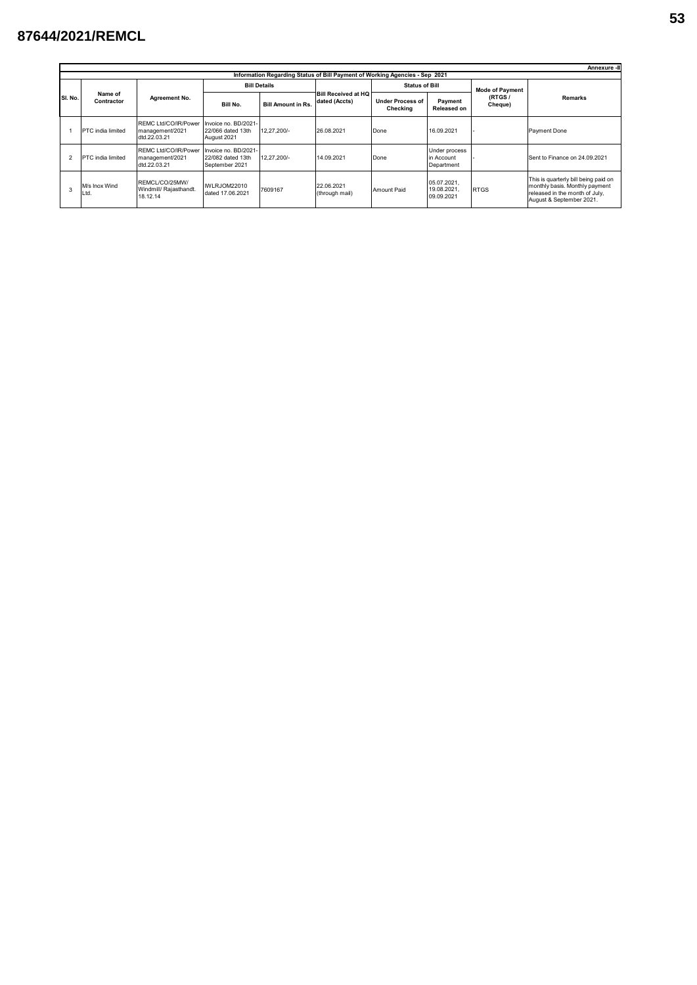## **87644/2021/REMCL**

|                | Annexure -III                                                               |                                                         |                                                             |                           |                                             |                                     |                                           |                        |                                                                                                                                      |  |  |  |  |  |  |
|----------------|-----------------------------------------------------------------------------|---------------------------------------------------------|-------------------------------------------------------------|---------------------------|---------------------------------------------|-------------------------------------|-------------------------------------------|------------------------|--------------------------------------------------------------------------------------------------------------------------------------|--|--|--|--|--|--|
|                | Information Regarding Status of Bill Payment of Working Agencies - Sep 2021 |                                                         |                                                             |                           |                                             |                                     |                                           |                        |                                                                                                                                      |  |  |  |  |  |  |
| SI. No.        | Name of<br>Contractor                                                       |                                                         |                                                             | <b>Bill Details</b>       |                                             | <b>Status of Bill</b>               |                                           | <b>Mode of Payment</b> | <b>Remarks</b>                                                                                                                       |  |  |  |  |  |  |
|                |                                                                             | Agreement No.                                           | Bill No.                                                    | <b>Bill Amount in Rs.</b> | <b>Bill Received at HQ</b><br>dated (Accts) | <b>Under Process of</b><br>Checking | Payment<br><b>Released on</b>             | (RTGS/<br>Cheque)      |                                                                                                                                      |  |  |  |  |  |  |
|                | PTC india limited                                                           | REMC Ltd/CO/IR/Power<br>management/2021<br>dtd.22.03.21 | Invoice no. BD/2021-<br>22/066 dated 13th<br>August 2021    | 12.27.200/-               | 26.08.2021                                  | Done                                | 16.09.2021                                |                        | Payment Done                                                                                                                         |  |  |  |  |  |  |
| $\mathfrak{p}$ | PTC india limited                                                           | REMC Ltd/CO/IR/Power<br>management/2021<br>dtd.22.03.21 | Invoice no. BD/2021-<br>22/082 dated 13th<br>September 2021 | 12.27.200/-               | 14.09.2021                                  | Done                                | Under process<br>in Account<br>Department |                        | Sent to Finance on 24.09.2021                                                                                                        |  |  |  |  |  |  |
|                | M/s Inox Wind<br>Ltd.                                                       | REMCL/CO/25MW/<br>Windmill/ Rajasthandt<br>18.12.14     | IWLRJOM22010<br>dated 17,06,2021                            | 7609167                   | 22.06.2021<br>(through mail)                | Amount Paid                         | 05.07.2021,<br>19.08.2021.<br>09.09.2021  | <b>RTGS</b>            | This is quarterly bill being paid on<br>monthly basis. Monthly payment<br>released in the month of July,<br>August & September 2021. |  |  |  |  |  |  |